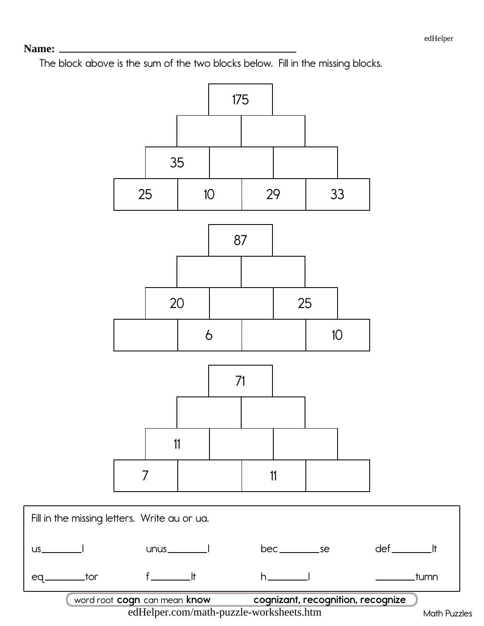$eq_{-}$ 

The block above is the sum of the two blocks below. Fill in the missing blocks.



edHelper.com/math-puzzle-worksheets.htm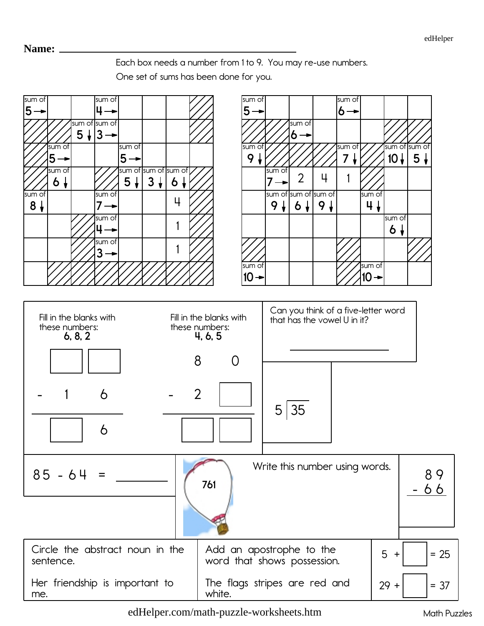Each box needs a number from 1 to 9. You may re-use numbers.

One set of sums has been done for you.



[edHelper.com/math-puzzle-worksheets.htm](https://www.edhelper.com/math-puzzle-worksheets.htm) Math Puzzles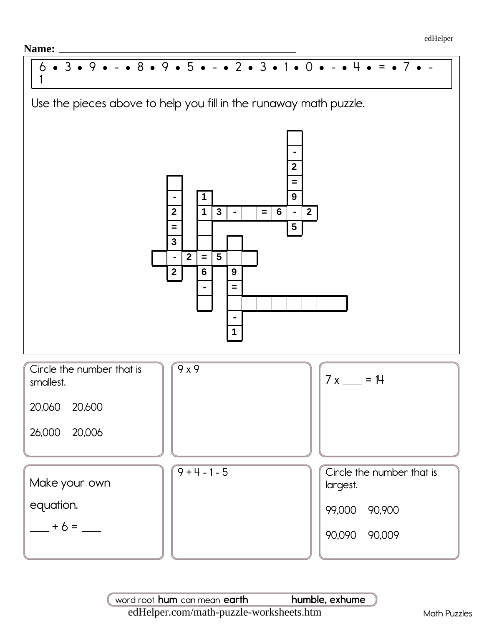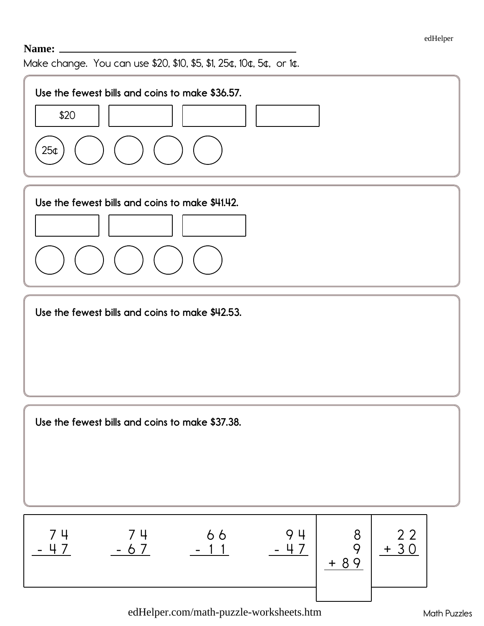Make change. You can use \$20, \$10, \$5, \$1, 25¢, 10¢, 5¢, or 1¢.



[edHelper.com/math-puzzle-worksheets.htm](https://www.edhelper.com/math-puzzle-worksheets.htm) Math Puzzles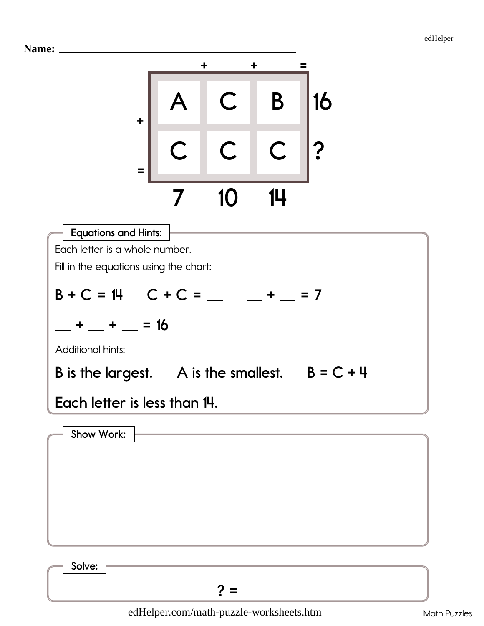



| Show Work: |  |  |
|------------|--|--|
|            |  |  |
|            |  |  |
|            |  |  |
|            |  |  |
|            |  |  |
|            |  |  |

Solve:  $? =$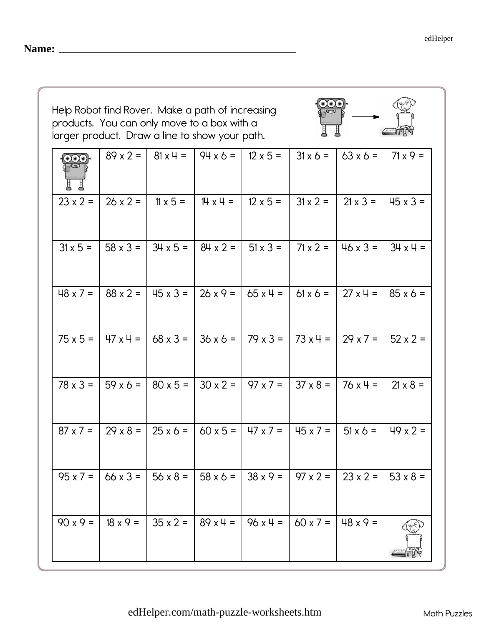$\overline{\odot\odot\odot}$ 

| <b>Name:</b> |
|--------------|
|              |

| Help Robot find Rover. Make a path of increasing |  |  |  |  |  |  |
|--------------------------------------------------|--|--|--|--|--|--|
| products. You can only move to a box with a      |  |  |  |  |  |  |
| larger product. Draw a line to show your path.   |  |  |  |  |  |  |

| $\cdot$ $\odot$ $\odot$ |                 | $89 \times 2 =   81 \times 4 =$ | $ 94 \times 6 =  $                                                                                                                                                              | $12 \times 5 =$ |                          | $31 \times 6 =   63 \times 6 =  $ | $71 \times 9 =$  |
|-------------------------|-----------------|---------------------------------|---------------------------------------------------------------------------------------------------------------------------------------------------------------------------------|-----------------|--------------------------|-----------------------------------|------------------|
| $23 \times 2 =$         | $26 \times 2 =$ | $11 \times 5 =$                 | $  \mathbb{H} \times \mathbb{H} =  $                                                                                                                                            |                 | $12 \times 5 =$ 31 x 2 = | $21 \times 3 =$                   | $145 \times 3 =$ |
| $31 \times 5 =$         |                 |                                 | 58 x 3 =   34 x 5 =   84 x 2 =   51 x 3 =   71 x 2 =   46 x 3 =   34 x 4 =                                                                                                      |                 |                          |                                   |                  |
|                         |                 |                                 | $\frac{18}{27}$ x 7 = $\frac{18}{3}$ x 2 = $\frac{145}{3}$ x 3 = $\frac{126}{2}$ x 9 = $\frac{165}{3}$ x 4 = $\frac{1}{3}$ 61 x 6 = $\frac{127}{3}$ x 4 = $\frac{185}{3}$ x 6 = |                 |                          |                                   |                  |
|                         |                 |                                 | $75 \times 5 =$   47 x 4 = $\begin{pmatrix} 68 \times 3 = 36 \times 6 = 79 \times 3 = 73 \times 4 = 29 \times 7 = 52 \times 2 = 11 \end{pmatrix}$                               |                 |                          |                                   |                  |
|                         |                 |                                 | $78 \times 3 =$   59 x 6 =   80 x 5 =   30 x 2 =   97 x 7 =   37 x 8 =   76 x 4 =                                                                                               |                 |                          |                                   | $21 \times 8 =$  |
| $87 \times 7 =$         |                 |                                 | $29 \times 8 =$   25 $\times 6 =$   60 $\times 5 =$   47 $\times 7 =$   45 $\times 7 =$   51 $\times 6 =$                                                                       |                 |                          |                                   | $149 \times 2 =$ |
| $95 \times 7 =$         |                 |                                 | 66 x 3 =   56 x 8 =   58 x 6 =   38 x 9 =   97 x 2 =   23 x 2 =   53 x 8 =                                                                                                      |                 |                          |                                   |                  |
| $90x9 =$                | $18 \times 9 =$ | $35 \times 2 =$                 | $89x4 =$                                                                                                                                                                        | $96x4 =$        | $60 x 7 =$               | $48 \times 9 =$                   |                  |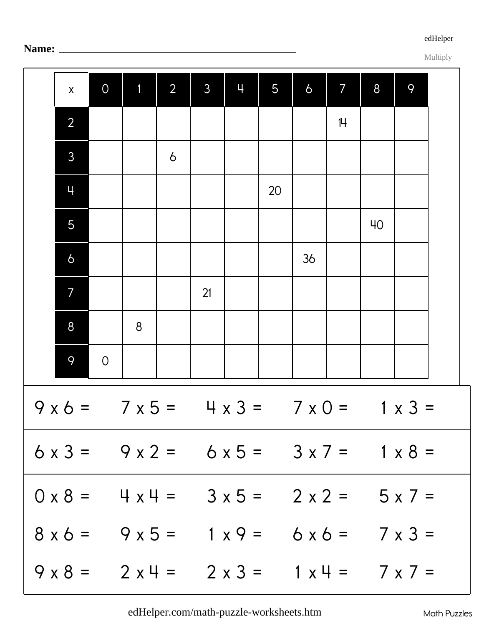[edHelper](https://www.edhelper.com)

Multiply

|                                                                            | $\pmb{\mathsf{X}}$ | $\overline{O}$ | $\mathbf{1}$ | $\overline{2}$ | $\mathfrak{Z}$ | ц | 5  | $\sigma$ | 7  | 8  | 9 |  |
|----------------------------------------------------------------------------|--------------------|----------------|--------------|----------------|----------------|---|----|----------|----|----|---|--|
|                                                                            | $\overline{2}$     |                |              |                |                |   |    |          | 14 |    |   |  |
|                                                                            | 3                  |                |              | $\delta$       |                |   |    |          |    |    |   |  |
|                                                                            | 4                  |                |              |                |                |   | 20 |          |    |    |   |  |
|                                                                            | 5                  |                |              |                |                |   |    |          |    | 40 |   |  |
|                                                                            | $\sigma$           |                |              |                |                |   |    | 36       |    |    |   |  |
|                                                                            | 7                  |                |              |                | 21             |   |    |          |    |    |   |  |
|                                                                            | 8                  |                | 8            |                |                |   |    |          |    |    |   |  |
|                                                                            | 9                  | $\overline{O}$ |              |                |                |   |    |          |    |    |   |  |
| $9 \times 6 = 7 \times 5 = 4 \times 3 = 7 \times 0 = 1 \times 3 =$         |                    |                |              |                |                |   |    |          |    |    |   |  |
| $6 \times 3 = 9 \times 2 = 6 \times 5 = 3 \times 7 = 1 \times 8 =$         |                    |                |              |                |                |   |    |          |    |    |   |  |
| $0 \times 8 =$ 4 $\times$ 4 = 3 $\times$ 5 = 2 $\times$ 2 = 5 $\times$ 7 = |                    |                |              |                |                |   |    |          |    |    |   |  |
| $8x6 = 9x5 = 1x9 = 6x6 = 7x3 =$                                            |                    |                |              |                |                |   |    |          |    |    |   |  |
| $9 \times 8 = 2 \times 4 = 2 \times 3 = 1 \times 4 = 7 \times 7 =$         |                    |                |              |                |                |   |    |          |    |    |   |  |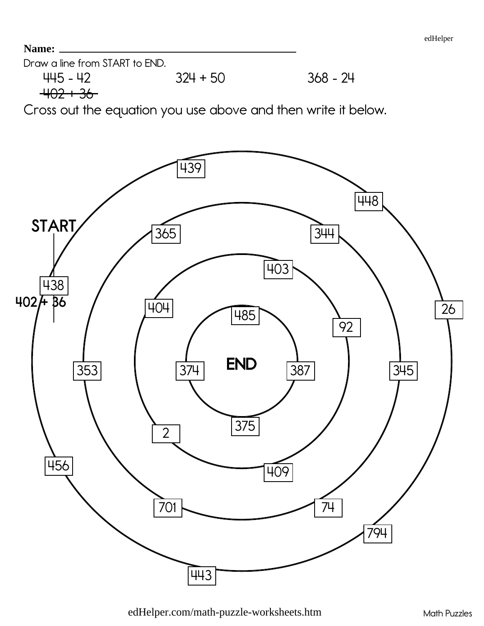Draw a line from START to END.

 $445 - 42$  324 + 50 368 - 24  $+02 + 36$ 

Cross out the equation you use above and then write it below.

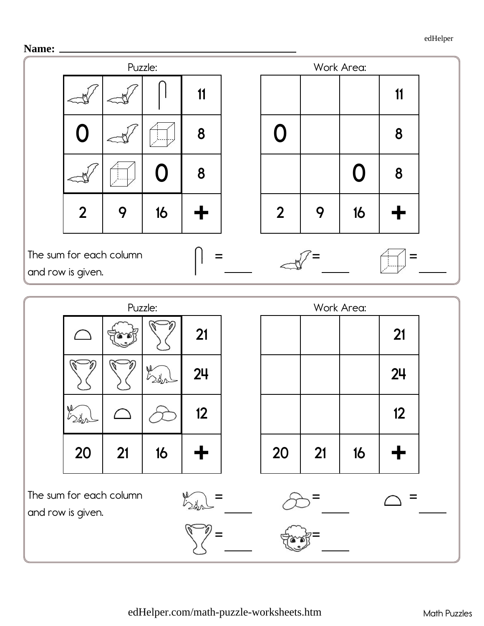